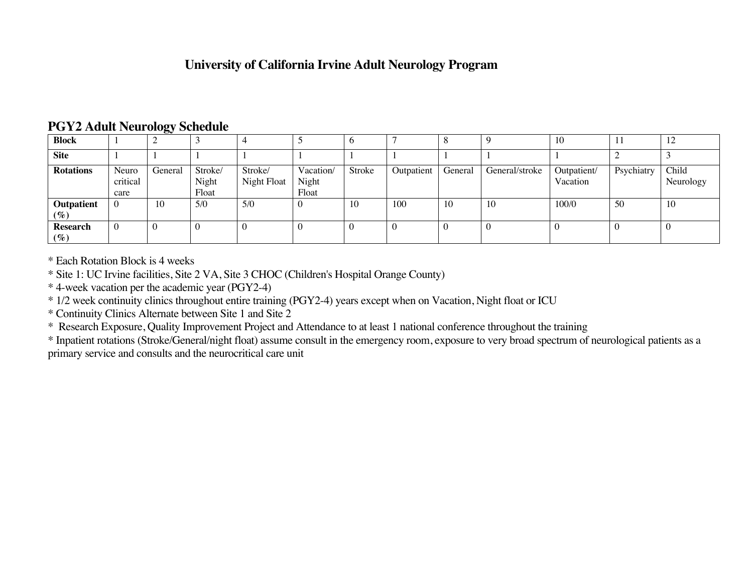### **University of California Irvine Adult Neurology Program**

| <b>Block</b>         |                           |         |                           |                        |                             |        | -          |          |                | 10                      | 11         | 12                 |
|----------------------|---------------------------|---------|---------------------------|------------------------|-----------------------------|--------|------------|----------|----------------|-------------------------|------------|--------------------|
| <b>Site</b>          |                           |         |                           |                        |                             |        |            |          |                |                         |            |                    |
| <b>Rotations</b>     | Neuro<br>critical<br>care | General | Stroke/<br>Night<br>Float | Stroke/<br>Night Float | Vacation/<br>Night<br>Float | Stroke | Outpatient | General  | General/stroke | Outpatient/<br>Vacation | Psychiatry | Child<br>Neurology |
| Outpatient<br>$(\%)$ | $\overline{0}$            | 10      | 5/0                       | 5/0                    |                             | 10     | 100        | 10       | 10             | 100/0                   | 50         | 10                 |
| Research<br>$(\%)$   | $\overline{0}$            | 0       |                           |                        |                             |        | $\bf{0}$   | $\bf{0}$ |                |                         |            |                    |

### **PGY2 Adult Neurology Schedule**

\* Each Rotation Block is 4 weeks

\* Site 1: UC Irvine facilities, Site 2 VA, Site 3 CHOC (Children's Hospital Orange County)

\* 4-week vacation per the academic year (PGY2-4)

\* 1/2 week continuity clinics throughout entire training (PGY2-4) years except when on Vacation, Night float or ICU

\* Continuity Clinics Alternate between Site 1 and Site 2

\* Research Exposure, Quality Improvement Project and Attendance to at least 1 national conference throughout the training

\* Inpatient rotations (Stroke/General/night float) assume consult in the emergency room, exposure to very broad spectrum of neurological patients as a primary service and consults and the neurocritical care unit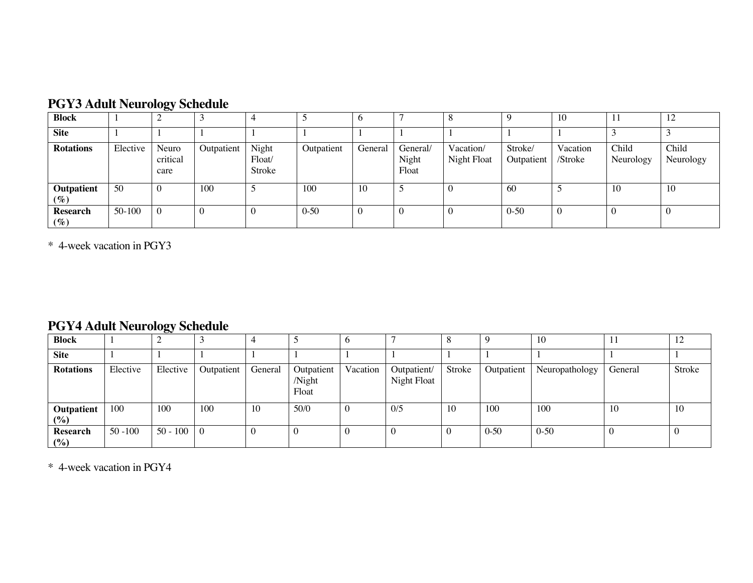| <b>PGY3 Adult Neurology Schedule</b> |  |
|--------------------------------------|--|
|--------------------------------------|--|

| <b>Block</b>                                 |          | $\tilde{}$                |            |                              |            | O       |                            |                          |                       | 10                  |                    | 12                 |
|----------------------------------------------|----------|---------------------------|------------|------------------------------|------------|---------|----------------------------|--------------------------|-----------------------|---------------------|--------------------|--------------------|
| <b>Site</b>                                  |          |                           |            |                              |            |         |                            |                          |                       |                     |                    |                    |
| <b>Rotations</b>                             | Elective | Neuro<br>critical<br>care | Outpatient | Night<br>$F$ loat/<br>Stroke | Outpatient | General | General/<br>Night<br>Float | Vacation/<br>Night Float | Stroke/<br>Outpatient | Vacation<br>/Stroke | Child<br>Neurology | Child<br>Neurology |
| <b>Outpatient</b><br>$(\%)$                  | 50       |                           | 100        | Э                            | 100        | 10      |                            |                          | -60                   |                     | 10                 | 10                 |
| <b>Research</b><br>$\left( \text{\%}\right)$ | $50-100$ |                           |            |                              | $0 - 50$   | U       | 0                          | <sup>0</sup>             | $0 - 50$              | - 6                 |                    |                    |

\* 4-week vacation in PGY3

### **PGY4 Adult Neurology Schedule**

| <b>Block</b>      |            | w          |            |         |                               |          |                            |        |            | 10             | -1-1    | 12     |
|-------------------|------------|------------|------------|---------|-------------------------------|----------|----------------------------|--------|------------|----------------|---------|--------|
| <b>Site</b>       |            |            |            |         |                               |          |                            |        |            |                |         |        |
| <b>Rotations</b>  | Elective   | Elective   | Outpatient | General | Outpatient<br>/Night<br>Float | Vacation | Outpatient/<br>Night Float | Stroke | Outpatient | Neuropathology | General | Stroke |
| Outpatient<br>(%) | 100        | 100        | 100        | 10      | 50/0                          |          | 0/5                        | 10     | 100        | 100            | 10      | 10     |
| Research<br>(%)   | $50 - 100$ | $50 - 100$ | $\Omega$   |         |                               |          |                            |        | $0 - 50$   | $0 - 50$       |         |        |

\* 4-week vacation in PGY4